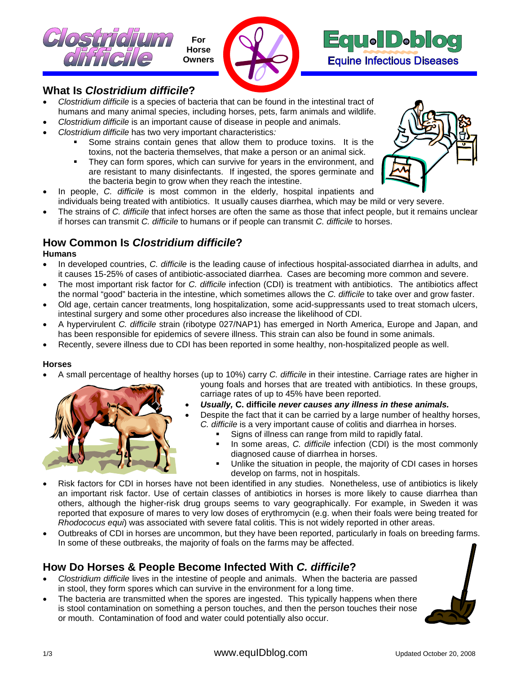





# **What Is** *Clostridium difficile***?**

- *Clostridium difficile* is a species of bacteria that can be found in the intestinal tract of humans and many animal species, including horses, pets, farm animals and wildlife.
- *Clostridium difficile* is an important cause of disease in people and animals.
- *Clostridium difficile* has two very important characteristics*:*
	- Some strains contain genes that allow them to produce toxins. It is the toxins, not the bacteria themselves, that make a person or an animal sick.
	- They can form spores, which can survive for years in the environment, and are resistant to many disinfectants. If ingested, the spores germinate and the bacteria begin to grow when they reach the intestine.



- In people, *C. difficile* is most common in the elderly, hospital inpatients and individuals being treated with antibiotics. It usually causes diarrhea, which may be mild or very severe.
- The strains of *C. difficile* that infect horses are often the same as those that infect people, but it remains unclear if horses can transmit *C. difficile* to humans or if people can transmit *C. difficile* to horses.

# **How Common Is** *Clostridium difficile***?**

### **Humans**

- In developed countries, *C. difficile* is the leading cause of infectious hospital-associated diarrhea in adults, and it causes 15-25% of cases of antibiotic-associated diarrhea. Cases are becoming more common and severe.
- The most important risk factor for *C. difficile* infection (CDI) is treatment with antibiotics. The antibiotics affect the normal "good" bacteria in the intestine, which sometimes allows the *C. difficile* to take over and grow faster.
- Old age, certain cancer treatments, long hospitalization, some acid-suppressants used to treat stomach ulcers, intestinal surgery and some other procedures also increase the likelihood of CDI.
- A hypervirulent *C. difficile* strain (ribotype 027/NAP1) has emerged in North America, Europe and Japan, and has been responsible for epidemics of severe illness. This strain can also be found in some animals.
- Recently, severe illness due to CDI has been reported in some healthy, non-hospitalized people as well.

#### **Horses**

• A small percentage of healthy horses (up to 10%) carry *C. difficile* in their intestine. Carriage rates are higher in



- young foals and horses that are treated with antibiotics. In these groups, carriage rates of up to 45% have been reported.
- *Usually,* **C. difficile** *never causes any illness in these animals.*
- Despite the fact that it can be carried by a large number of healthy horses, *C. difficile* is a very important cause of colitis and diarrhea in horses.
	- Signs of illness can range from mild to rapidly fatal.
	- In some areas, *C. difficile* infection (CDI) is the most commonly diagnosed cause of diarrhea in horses.
	- Unlike the situation in people, the majority of CDI cases in horses develop on farms, not in hospitals.
- Risk factors for CDI in horses have not been identified in any studies. Nonetheless, use of antibiotics is likely an important risk factor. Use of certain classes of antibiotics in horses is more likely to cause diarrhea than others, although the higher-risk drug groups seems to vary geographically. For example, in Sweden it was reported that exposure of mares to very low doses of erythromycin (e.g. when their foals were being treated for *Rhodococus equi*) was associated with severe fatal colitis. This is not widely reported in other areas.
- Outbreaks of CDI in horses are uncommon, but they have been reported, particularly in foals on breeding farms. In some of these outbreaks, the majority of foals on the farms may be affected.

# **How Do Horses & People Become Infected With** *C. difficile***?**

- *Clostridium difficile* lives in the intestine of people and animals. When the bacteria are passed in stool, they form spores which can survive in the environment for a long time.
- The bacteria are transmitted when the spores are ingested. This typically happens when there is stool contamination on something a person touches, and then the person touches their nose or mouth. Contamination of food and water could potentially also occur.

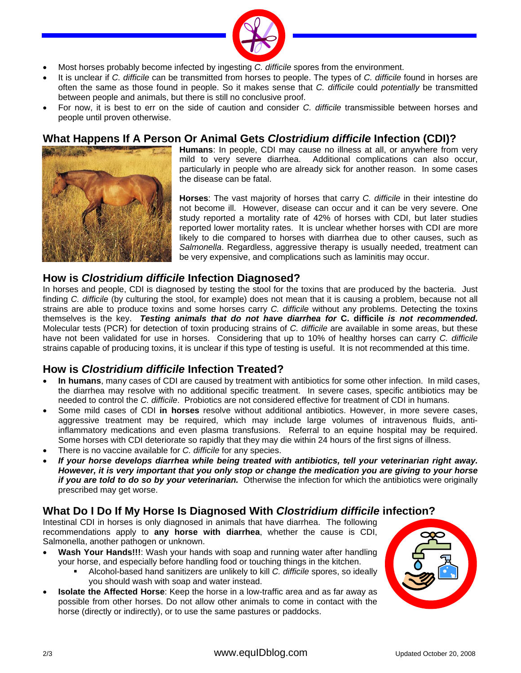

- Most horses probably become infected by ingesting *C. difficile* spores from the environment.
- It is unclear if *C. difficile* can be transmitted from horses to people. The types of *C. difficile* found in horses are often the same as those found in people. So it makes sense that *C. difficile* could *potentially* be transmitted between people and animals, but there is still no conclusive proof.
- For now, it is best to err on the side of caution and consider *C. difficile* transmissible between horses and people until proven otherwise.

### **What Happens If A Person Or Animal Gets** *Clostridium difficile* **Infection (CDI)?**



**Humans**: In people, CDI may cause no illness at all, or anywhere from very mild to very severe diarrhea. Additional complications can also occur, particularly in people who are already sick for another reason. In some cases the disease can be fatal.

**Horses**: The vast majority of horses that carry *C. difficile* in their intestine do not become ill. However, disease can occur and it can be very severe. One study reported a mortality rate of 42% of horses with CDI, but later studies reported lower mortality rates. It is unclear whether horses with CDI are more likely to die compared to horses with diarrhea due to other causes, such as *Salmonella*. Regardless, aggressive therapy is usually needed, treatment can be very expensive, and complications such as laminitis may occur.

### **How is** *Clostridium difficile* **Infection Diagnosed?**

In horses and people, CDI is diagnosed by testing the stool for the toxins that are produced by the bacteria. Just finding *C. difficile* (by culturing the stool, for example) does not mean that it is causing a problem, because not all strains are able to produce toxins and some horses carry *C. difficile* without any problems. Detecting the toxins themselves is the key. *Testing animals that do not have diarrhea for* **C. difficile** *is not recommended.*  Molecular tests (PCR) for detection of toxin producing strains of *C. difficile* are available in some areas, but these have not been validated for use in horses. Considering that up to 10% of healthy horses can carry *C. difficile* strains capable of producing toxins, it is unclear if this type of testing is useful. It is not recommended at this time.

## **How is** *Clostridium difficile* **Infection Treated?**

- **In humans**, many cases of CDI are caused by treatment with antibiotics for some other infection. In mild cases, the diarrhea may resolve with no additional specific treatment. In severe cases, specific antibiotics may be needed to control the *C. difficile*. Probiotics are not considered effective for treatment of CDI in humans.
- Some mild cases of CDI **in horses** resolve without additional antibiotics. However, in more severe cases, aggressive treatment may be required, which may include large volumes of intravenous fluids, antiinflammatory medications and even plasma transfusions. Referral to an equine hospital may be required. Some horses with CDI deteriorate so rapidly that they may die within 24 hours of the first signs of illness.
- There is no vaccine available for *C. difficile* for any species.
- *If your horse develops diarrhea while being treated with antibiotics, tell your veterinarian right away. However, it is very important that you only stop or change the medication you are giving to your horse if you are told to do so by your veterinarian.* Otherwise the infection for which the antibiotics were originally prescribed may get worse.

## **What Do I Do If My Horse Is Diagnosed With** *Clostridium difficile* **infection?**

Intestinal CDI in horses is only diagnosed in animals that have diarrhea. The following recommendations apply to **any horse with diarrhea**, whether the cause is CDI, Salmonella, another pathogen or unknown.

- **Wash Your Hands!!!**: Wash your hands with soap and running water after handling your horse, and especially before handling food or touching things in the kitchen.
	- Alcohol-based hand sanitizers are unlikely to kill *C. difficile* spores, so ideally you should wash with soap and water instead.
- **Isolate the Affected Horse**: Keep the horse in a low-traffic area and as far away as possible from other horses. Do not allow other animals to come in contact with the horse (directly or indirectly), or to use the same pastures or paddocks.